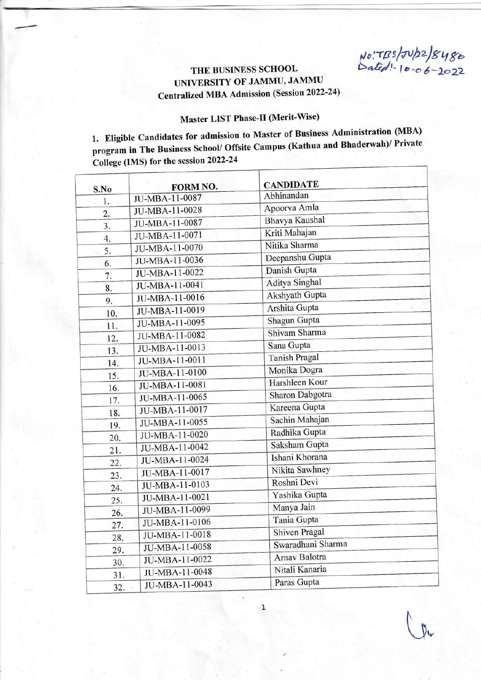THE BUSINESS SCHOOL  $\frac{16.77B5}{16.66}$  10.06-2022

## TINIVERSITY OF JAMMU, JAMMU Centralized MBA Admission (Session 2022-24)

## Master LIST Phase-II (Merit-Wise)

1. Eligible Candidates for admission to Master of Business Administration (MBA) program in The Business School/ Offsite Campus (Kathua and Bhaderwah)/ Private College (IMS) for the session 2022-24

| S.No             | FORM NO.       | <b>CANDIDATE</b>      |  |
|------------------|----------------|-----------------------|--|
| 1.               | JU-MBA-11-0087 | Abhinandan            |  |
| $\overline{2}$ . | JU-MBA-11-0028 | Apoorva Amla          |  |
| $\overline{3}$ . | JU-MBA-11-0087 | <b>Bhavya Kaushal</b> |  |
| 4.               | JU-MBA-11-0071 | Kriti Mahajan         |  |
| 5.               | JU-MBA-11-0070 | Nitika Sharma         |  |
| 6.               | JU-MBA-11-0036 | Deepanshu Gupta       |  |
| 7.               | JU-MBA-11-0022 | Danish Gupta          |  |
| 8.               | JU-MBA-11-0041 | <b>Aditya Singhal</b> |  |
| 9.               | JU-MBA-11-0016 | <b>Akshyath Gupta</b> |  |
| 10.              | JU-MBA-11-0019 | Arshita Gupta         |  |
| 11.              | JU-MBA-11-0095 | Shagun Gupta          |  |
| 12.              | JU-MBA-11-0082 | Shivam Sharma         |  |
| 13.              | JU-MBA-11-0013 | Sana Gupta            |  |
| 14.              | JU-MBA-11-0011 | <b>Tanish Pragal</b>  |  |
| 15.              | JU-MBA-11-0100 | Monika Dogra          |  |
| 16.              | JU-MBA-11-0081 | Harshleen Kour        |  |
| 17.              | JU-MBA-11-0065 | Sharon Dabgotra       |  |
| 18.              | JU-MBA-11-0017 | Kareena Gupta         |  |
| 19.              | JU-MBA-11-0055 | Sachin Mahajan        |  |
| 20.              | JU-MBA-11-0020 | Radhika Gupta         |  |
| 21.              | JU-MBA-11-0042 | Saksham Gupta         |  |
| 22.              | JU-MBA-11-0024 | Ishani Khorana        |  |
| 23.              | JU-MBA-11-0017 | Nikita Sawhney        |  |
| 24.              | JU-MBA-11-0103 | Roshni Devi           |  |
| 25.              | JU-MBA-11-0021 | Yashika Gupta         |  |
| 26.              | JU-MBA-11-0099 | Manya Jain            |  |
| 27.              | JU-MBA-11-0106 | Tania Gupta           |  |
| 28.              | JU-MBA-11-0018 | Shiven Pragal         |  |
| 29.              | JU-MBA-11-0058 | Swaradhani Sharma     |  |
| 30.              | JU-MBA-11-0022 | Arnav Balotra         |  |
| 31.              | JU-MBA-11-0048 | Nitali Kanaria        |  |
| 32.              | JU-MBA-11-0043 | Paras Gupta           |  |

1.

 $\int_{\mathbb{R}^n}$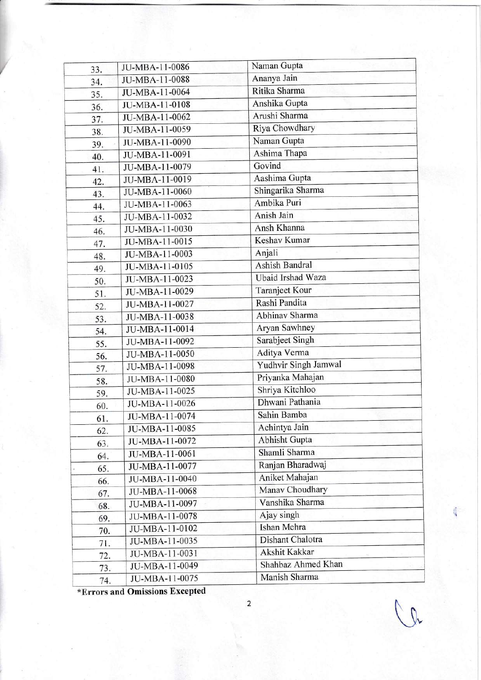| 33. | JU-MBA-11-0086 | Naman Gupta              |
|-----|----------------|--------------------------|
| 34. | JU-MBA-11-0088 | Ananya Jain              |
| 35. | JU-MBA-11-0064 | Ritika Sharma            |
| 36. | JU-MBA-11-0108 | Anshika Gupta            |
| 37. | JU-MBA-11-0062 | Arushi Sharma            |
| 38. | JU-MBA-11-0059 | Riya Chowdhary           |
| 39. | JU-MBA-11-0090 | Naman Gupta              |
| 40. | JU-MBA-11-0091 | Ashima Thapa             |
| 41. | JU-MBA-11-0079 | Govind                   |
| 42. | JU-MBA-11-0019 | Aashima Gupta            |
| 43. | JU-MBA-11-0060 | Shingarika Sharma        |
| 44. | JU-MBA-11-0063 | Ambika Puri              |
| 45. | JU-MBA-11-0032 | Anish Jain               |
| 46. | JU-MBA-11-0030 | Ansh Khanna              |
| 47. | JU-MBA-11-0015 | Keshav Kumar             |
|     | JU-MBA-11-0003 | Anjali                   |
| 48. | JU-MBA-11-0105 | Ashish Bandral           |
| 49. | JU-MBA-11-0023 | <b>Ubaid Irshad Waza</b> |
| 50. | JU-MBA-11-0029 | Taranjeet Kour           |
| 51. | JU-MBA-11-0027 | Rashi Pandita            |
| 52. | JU-MBA-11-0038 | Abhinav Sharma           |
| 53. | JU-MBA-11-0014 | Aryan Sawhney            |
| 54. | JU-MBA-11-0092 | Sarabjeet Singh          |
| 55. | JU-MBA-11-0050 | Aditya Verma             |
| 56. | JU-MBA-11-0098 | Yudhvir Singh Jamwal     |
| 57. | JU-MBA-11-0080 | Priyanka Mahajan         |
| 58. | JU-MBA-11-0025 | Shriya Kitchloo          |
| 59. | JU-MBA-11-0026 | Dhwani Pathania          |
| 60. | JU-MBA-11-0074 | Sahin Bamba              |
| 61. | JU-MBA-11-0085 | Achintya Jain            |
| 62. | JU-MBA-11-0072 | Abhisht Gupta            |
| 63. | JU-MBA-11-0061 | Shamli Sharma            |
| 64. | JU-MBA-11-0077 | Ranjan Bharadwaj         |
| 65. | JU-MBA-11-0040 | Aniket Mahajan           |
| 66. | JU-MBA-11-0068 | Manav Choudhary          |
| 67. |                | Vanshika Sharma          |
| 68. | JU-MBA-11-0097 | Ajay singh               |
| 69. | JU-MBA-11-0078 | Ishan Mehra              |
| 70. | JU-MBA-11-0102 | Dishant Chalotra         |
| 71. | JU-MBA-11-0035 | Akshit Kakkar            |
| 72. | JU-MBA-11-0031 | Shahbaz Ahmed Khan       |
| 73. | JU-MBA-11-0049 | Manish Sharma            |
| 74. | JU-MBA-11-0075 |                          |

\*Errors and Omissions Excepted

U"